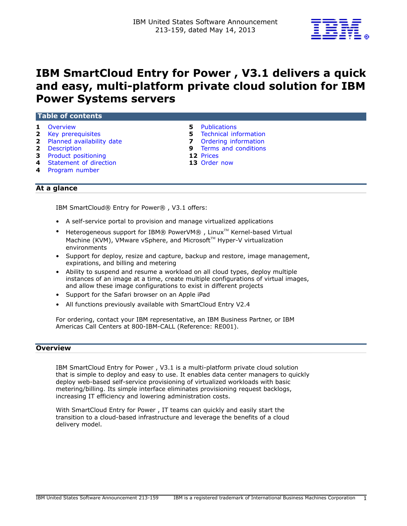

# **IBM SmartCloud Entry for Power , V3.1 delivers a quick and easy, multi-platform private cloud solution for IBM Power Systems servers**

| Overview<br>$\mathbf{1}$     | <b>Publications</b><br>5       |
|------------------------------|--------------------------------|
| 2 Key prerequisites          | <b>5</b> Technical information |
| 2 Planned availability date  | Ordering information<br>7      |
| <b>2</b> Description         | <b>9</b> Terms and conditions  |
| <b>3</b> Product positioning | 12 Prices                      |
| 4 Statement of direction     | 13 Order now                   |
| 4 Program number             |                                |

# **At a glance**

IBM SmartCloud® Entry for Power® , V3.1 offers:

- A self-service portal to provision and manage virtualized applications
- Heterogeneous support for IBM® PowerVM®, Linux<sup>™</sup> Kernel-based Virtual Machine (KVM), VMware vSphere, and Microsoft™ Hyper-V virtualization environments
- Support for deploy, resize and capture, backup and restore, image management, expirations, and billing and metering
- Ability to suspend and resume a workload on all cloud types, deploy multiple instances of an image at a time, create multiple configurations of virtual images, and allow these image configurations to exist in different projects
- Support for the Safari browser on an Apple iPad
- All functions previously available with SmartCloud Entry V2.4

For ordering, contact your IBM representative, an IBM Business Partner, or IBM Americas Call Centers at 800-IBM-CALL (Reference: RE001).

# <span id="page-0-0"></span>**Overview**

IBM SmartCloud Entry for Power , V3.1 is a multi-platform private cloud solution that is simple to deploy and easy to use. It enables data center managers to quickly deploy web-based self-service provisioning of virtualized workloads with basic metering/billing. Its simple interface eliminates provisioning request backlogs, increasing IT efficiency and lowering administration costs.

With SmartCloud Entry for Power , IT teams can quickly and easily start the transition to a cloud-based infrastructure and leverage the benefits of a cloud delivery model.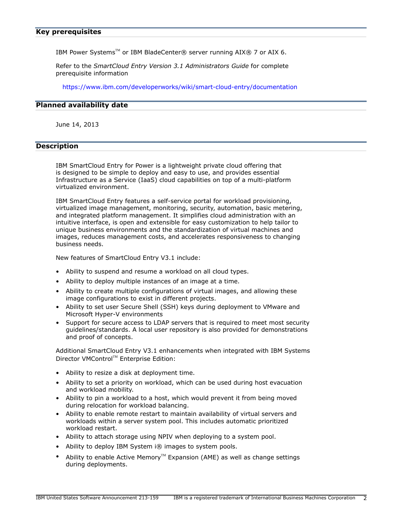<span id="page-1-0"></span>IBM Power Systems™ or IBM BladeCenter® server running AIX® 7 or AIX 6.

Refer to the *SmartCloud Entry Version 3.1 Administrators Guide* for complete prerequisite information

<https://www.ibm.com/developerworks/wiki/smart-cloud-entry/documentation>

## <span id="page-1-1"></span>**Planned availability date**

June 14, 2013

# <span id="page-1-2"></span>**Description**

IBM SmartCloud Entry for Power is a lightweight private cloud offering that is designed to be simple to deploy and easy to use, and provides essential Infrastructure as a Service (IaaS) cloud capabilities on top of a multi-platform virtualized environment.

IBM SmartCloud Entry features a self-service portal for workload provisioning, virtualized image management, monitoring, security, automation, basic metering, and integrated platform management. It simplifies cloud administration with an intuitive interface, is open and extensible for easy customization to help tailor to unique business environments and the standardization of virtual machines and images, reduces management costs, and accelerates responsiveness to changing business needs.

New features of SmartCloud Entry V3.1 include:

- Ability to suspend and resume a workload on all cloud types.
- Ability to deploy multiple instances of an image at a time.
- Ability to create multiple configurations of virtual images, and allowing these image configurations to exist in different projects.
- Ability to set user Secure Shell (SSH) keys during deployment to VMware and Microsoft Hyper-V environments
- Support for secure access to LDAP servers that is required to meet most security guidelines/standards. A local user repository is also provided for demonstrations and proof of concepts.

Additional SmartCloud Entry V3.1 enhancements when integrated with IBM Systems Director VMControl™ Enterprise Edition:

- Ability to resize a disk at deployment time.
- Ability to set a priority on workload, which can be used during host evacuation and workload mobility.
- Ability to pin a workload to a host, which would prevent it from being moved during relocation for workload balancing.
- Ability to enable remote restart to maintain availability of virtual servers and workloads within a server system pool. This includes automatic prioritized workload restart.
- Ability to attach storage using NPIV when deploying to a system pool.
- Ability to deploy IBM System i® images to system pools.
- Ability to enable Active Memory<sup>™</sup> Expansion (AME) as well as change settings during deployments.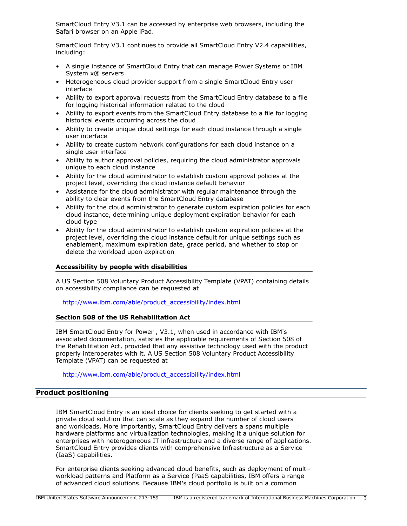SmartCloud Entry V3.1 can be accessed by enterprise web browsers, including the Safari browser on an Apple iPad.

SmartCloud Entry V3.1 continues to provide all SmartCloud Entry V2.4 capabilities, including:

- A single instance of SmartCloud Entry that can manage Power Systems or IBM System x® servers
- Heterogeneous cloud provider support from a single SmartCloud Entry user interface
- Ability to export approval requests from the SmartCloud Entry database to a file for logging historical information related to the cloud
- Ability to export events from the SmartCloud Entry database to a file for logging historical events occurring across the cloud
- Ability to create unique cloud settings for each cloud instance through a single user interface
- Ability to create custom network configurations for each cloud instance on a single user interface
- Ability to author approval policies, requiring the cloud administrator approvals unique to each cloud instance
- Ability for the cloud administrator to establish custom approval policies at the project level, overriding the cloud instance default behavior
- Assistance for the cloud administrator with regular maintenance through the ability to clear events from the SmartCloud Entry database
- Ability for the cloud administrator to generate custom expiration policies for each cloud instance, determining unique deployment expiration behavior for each cloud type
- Ability for the cloud administrator to establish custom expiration policies at the project level, overriding the cloud instance default for unique settings such as enablement, maximum expiration date, grace period, and whether to stop or delete the workload upon expiration

# **Accessibility by people with disabilities**

A US Section 508 Voluntary Product Accessibility Template (VPAT) containing details on accessibility compliance can be requested at

## [http://www.ibm.com/able/product\\_accessibility/index.html](http://www.ibm.com/able/product_accessibility/index.html)

# **Section 508 of the US Rehabilitation Act**

IBM SmartCloud Entry for Power , V3.1, when used in accordance with IBM's associated documentation, satisfies the applicable requirements of Section 508 of the Rehabilitation Act, provided that any assistive technology used with the product properly interoperates with it. A US Section 508 Voluntary Product Accessibility Template (VPAT) can be requested at

[http://www.ibm.com/able/product\\_accessibility/index.html](http://www.ibm.com/able/product_accessibility/index.html)

# <span id="page-2-0"></span>**Product positioning**

IBM SmartCloud Entry is an ideal choice for clients seeking to get started with a private cloud solution that can scale as they expand the number of cloud users and workloads. More importantly, SmartCloud Entry delivers a spans multiple hardware platforms and virtualization technologies, making it a unique solution for enterprises with heterogeneous IT infrastructure and a diverse range of applications. SmartCloud Entry provides clients with comprehensive Infrastructure as a Service (IaaS) capabilities.

For enterprise clients seeking advanced cloud benefits, such as deployment of multiworkload patterns and Platform as a Service (PaaS capabilities, IBM offers a range of advanced cloud solutions. Because IBM's cloud portfolio is built on a common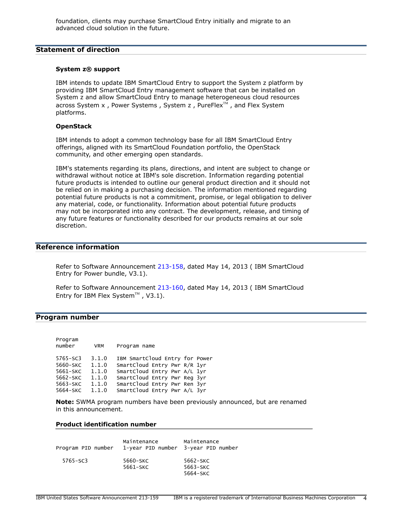# <span id="page-3-0"></span>**Statement of direction**

# **System z® support**

IBM intends to update IBM SmartCloud Entry to support the System z platform by providing IBM SmartCloud Entry management software that can be installed on System z and allow SmartCloud Entry to manage heterogeneous cloud resources across System  $x$ , Power Systems, System  $z$ , PureFlex $\mathbb{N}$ , and Flex System platforms.

## **OpenStack**

IBM intends to adopt a common technology base for all IBM SmartCloud Entry offerings, aligned with its SmartCloud Foundation portfolio, the OpenStack community, and other emerging open standards.

IBM's statements regarding its plans, directions, and intent are subject to change or withdrawal without notice at IBM's sole discretion. Information regarding potential future products is intended to outline our general product direction and it should not be relied on in making a purchasing decision. The information mentioned regarding potential future products is not a commitment, promise, or legal obligation to deliver any material, code, or functionality. Information about potential future products may not be incorporated into any contract. The development, release, and timing of any future features or functionality described for our products remains at our sole discretion.

# **Reference information**

Refer to Software Announcement [213-158,](http://www.ibm.com/common/ssi/cgi-bin/ssialias?infotype=an&subtype=ca&appname=gpateam&supplier=897&letternum=ENUS213-158) dated May 14, 2013 ( IBM SmartCloud Entry for Power bundle, V3.1).

Refer to Software Announcement [213-160,](http://www.ibm.com/common/ssi/cgi-bin/ssialias?infotype=an&subtype=ca&appname=gpateam&supplier=897&letternum=ENUS213-160) dated May 14, 2013 ( IBM SmartCloud Entry for IBM Flex System<sup>TM</sup> , V3.1).

## <span id="page-3-1"></span>**Program number**

| Program<br>number | <b>VRM</b> | Program name                   |  |
|-------------------|------------|--------------------------------|--|
| $5765 - SC3$      | 3.1.0      | IBM SmartCloud Entry for Power |  |
| 5660-SKC          | 1.1.0      | SmartCloud Entry Pwr R/R 1yr   |  |
| 5661-SKC          | 1.1.0      | SmartCloud Entry Pwr A/L 1yr   |  |
| 5662-SKC          | 1.1.0      | SmartCloud Entry Pwr Reg 3yr   |  |
| 5663-SKC          | 1.1.0      | SmartCloud Entry Pwr Ren 3yr   |  |
| 5664-SKC          | 1.1.0      | SmartCloud Entry Pwr A/L 3yr   |  |

**Note:** SWMA program numbers have been previously announced, but are renamed in this announcement.

# **Product identification number**

| Program PID number | Maintenance<br>1-year PID number 3-year PID number | Maintenance                      |
|--------------------|----------------------------------------------------|----------------------------------|
| $5765 - SC3$       | 5660-SKC<br>5661-SKC                               | 5662-SKC<br>5663-SKC<br>5664-SKC |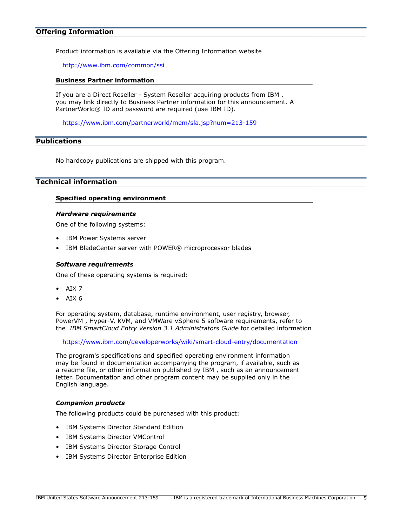## **Offering Information**

Product information is available via the Offering Information website

<http://www.ibm.com/common/ssi>

#### **Business Partner information**

If you are a Direct Reseller - System Reseller acquiring products from IBM , you may link directly to Business Partner information for this announcement. A PartnerWorld® ID and password are required (use IBM ID).

<https://www.ibm.com/partnerworld/mem/sla.jsp?num=213-159>

# <span id="page-4-0"></span>**Publications**

No hardcopy publications are shipped with this program.

# <span id="page-4-1"></span>**Technical information**

#### **Specified operating environment**

#### *Hardware requirements*

One of the following systems:

- IBM Power Systems server
- IBM BladeCenter server with POWER® microprocessor blades

#### *Software requirements*

One of these operating systems is required:

- AIX 7
- AIX 6

For operating system, database, runtime environment, user registry, browser, PowerVM , Hyper-V, KVM, and VMWare vSphere 5 software requirements, refer to the *IBM SmartCloud Entry Version 3.1 Administrators Guide* for detailed information

<https://www.ibm.com/developerworks/wiki/smart-cloud-entry/documentation>

The program's specifications and specified operating environment information may be found in documentation accompanying the program, if available, such as a readme file, or other information published by IBM , such as an announcement letter. Documentation and other program content may be supplied only in the English language.

#### *Companion products*

The following products could be purchased with this product:

- IBM Systems Director Standard Edition
- IBM Systems Director VMControl
- IBM Systems Director Storage Control
- IBM Systems Director Enterprise Edition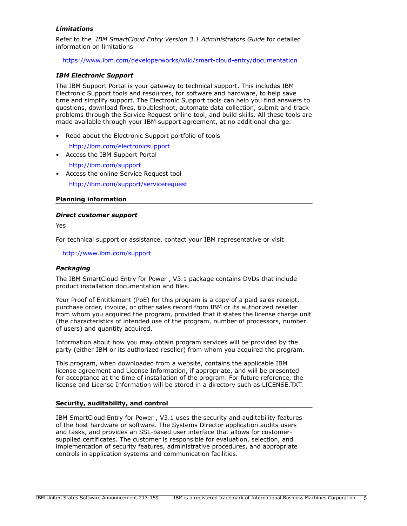# *Limitations*

Refer to the *IBM SmartCloud Entry Version 3.1 Administrators Guide* for detailed information on limitations

<https://www.ibm.com/developerworks/wiki/smart-cloud-entry/documentation>

# *IBM Electronic Support*

The IBM Support Portal is your gateway to technical support. This includes IBM Electronic Support tools and resources, for software and hardware, to help save time and simplify support. The Electronic Support tools can help you find answers to questions, download fixes, troubleshoot, automate data collection, submit and track problems through the Service Request online tool, and build skills. All these tools are made available through your IBM support agreement, at no additional charge.

• Read about the Electronic Support portfolio of tools

<http://ibm.com/electronicsupport>

- Access the IBM Support Portal
	- <http://ibm.com/support>
- Access the online Service Request tool <http://ibm.com/support/servicerequest>

# **Planning information**

## *Direct customer support*

Yes

For technical support or assistance, contact your IBM representative or visit

<http://www.ibm.com/support>

# *Packaging*

The IBM SmartCloud Entry for Power , V3.1 package contains DVDs that include product installation documentation and files.

Your Proof of Entitlement (PoE) for this program is a copy of a paid sales receipt, purchase order, invoice, or other sales record from IBM or its authorized reseller from whom you acquired the program, provided that it states the license charge unit (the characteristics of intended use of the program, number of processors, number of users) and quantity acquired.

Information about how you may obtain program services will be provided by the party (either IBM or its authorized reseller) from whom you acquired the program.

This program, when downloaded from a website, contains the applicable IBM license agreement and License Information, if appropriate, and will be presented for acceptance at the time of installation of the program. For future reference, the license and License Information will be stored in a directory such as LICENSE.TXT.

## **Security, auditability, and control**

IBM SmartCloud Entry for Power , V3.1 uses the security and auditability features of the host hardware or software. The Systems Director application audits users and tasks, and provides an SSL-based user interface that allows for customersupplied certificates. The customer is responsible for evaluation, selection, and implementation of security features, administrative procedures, and appropriate controls in application systems and communication facilities.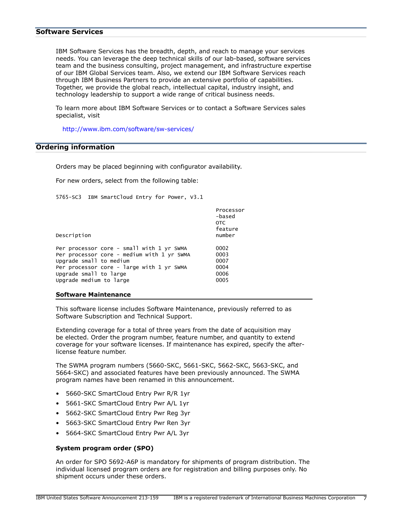## **Software Services**

IBM Software Services has the breadth, depth, and reach to manage your services needs. You can leverage the deep technical skills of our lab-based, software services team and the business consulting, project management, and infrastructure expertise of our IBM Global Services team. Also, we extend our IBM Software Services reach through IBM Business Partners to provide an extensive portfolio of capabilities. Together, we provide the global reach, intellectual capital, industry insight, and technology leadership to support a wide range of critical business needs.

To learn more about IBM Software Services or to contact a Software Services sales specialist, visit

<http://www.ibm.com/software/sw-services/>

# <span id="page-6-0"></span>**Ordering information**

Orders may be placed beginning with configurator availability.

For new orders, select from the following table:

5765-SC3 IBM SmartCloud Entry for Power, V3.1

| <b>OTC</b><br>Description                          | Processor<br>-based<br>feature<br>number |
|----------------------------------------------------|------------------------------------------|
| Per processor core - small with 1 yr SWMA<br>0002  |                                          |
| Per processor core - medium with 1 yr SWMA<br>0003 |                                          |
| Upgrade small to medium<br>0007                    |                                          |
| Per processor core - large with 1 yr SWMA<br>0004  |                                          |
| Upgrade small to large<br>0006                     |                                          |
| Upgrade medium to large<br>0005                    |                                          |

#### **Software Maintenance**

This software license includes Software Maintenance, previously referred to as Software Subscription and Technical Support.

Extending coverage for a total of three years from the date of acquisition may be elected. Order the program number, feature number, and quantity to extend coverage for your software licenses. If maintenance has expired, specify the afterlicense feature number.

The SWMA program numbers (5660-SKC, 5661-SKC, 5662-SKC, 5663-SKC, and 5664-SKC) and associated features have been previously announced. The SWMA program names have been renamed in this announcement.

- 5660-SKC SmartCloud Entry Pwr R/R 1yr
- 5661-SKC SmartCloud Entry Pwr A/L 1yr
- 5662-SKC SmartCloud Entry Pwr Reg 3yr
- 5663-SKC SmartCloud Entry Pwr Ren 3yr
- 5664-SKC SmartCloud Entry Pwr A/L 3yr

#### **System program order (SPO)**

An order for SPO 5692-A6P is mandatory for shipments of program distribution. The individual licensed program orders are for registration and billing purposes only. No shipment occurs under these orders.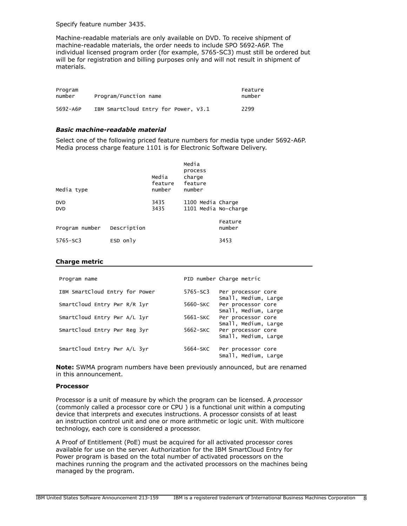Specify feature number 3435.

Machine-readable materials are only available on DVD. To receive shipment of machine-readable materials, the order needs to include SPO 5692-A6P. The individual licensed program order (for example, 5765-SC3) must still be ordered but will be for registration and billing purposes only and will not result in shipment of materials.

| Program<br>Program/Function name<br>number |                                      |      |
|--------------------------------------------|--------------------------------------|------|
| 5692-A6P                                   | IBM SmartCloud Entry for Power. V3.1 | 2299 |

#### *Basic machine-readable material*

Select one of the following priced feature numbers for media type under 5692-A6P. Media process charge feature 1101 is for Electronic Software Delivery.

| Media type               |             | Media<br>feature<br>number | Media<br>process<br>charge<br>feature<br>number |                   |
|--------------------------|-------------|----------------------------|-------------------------------------------------|-------------------|
| <b>DVD</b><br><b>DVD</b> |             | 3435<br>3435               | 1100 Media Charge<br>1101 Media No-charge       |                   |
| Program number           | Description |                            |                                                 | Feature<br>number |
| $5765 - SC3$             | ESD only    |                            |                                                 | 3453              |

#### **Charge metric**

| Program name                   | PID number Charge metric                               |
|--------------------------------|--------------------------------------------------------|
| IBM SmartCloud Entry for Power | 5765-SC3<br>Per processor core<br>Small, Medium, Large |
| SmartCloud Entry Pwr R/R 1yr   | 5660-SKC<br>Per processor core<br>Small, Medium, Large |
| SmartCloud Entry Pwr A/L 1yr   | 5661-SKC<br>Per processor core<br>Small, Medium, Large |
| SmartCloud Entry Pwr Reg 3yr   | 5662-SKC<br>Per processor core<br>Small, Medium, Large |
| SmartCloud Entry Pwr A/L 3yr   | 5664-SKC<br>Per processor core<br>Small, Medium, Large |

**Note:** SWMA program numbers have been previously announced, but are renamed in this announcement.

#### **Processor**

Processor is a unit of measure by which the program can be licensed. A *processor* (commonly called a processor core or CPU ) is a functional unit within a computing device that interprets and executes instructions. A processor consists of at least an instruction control unit and one or more arithmetic or logic unit. With multicore technology, each core is considered a processor.

A Proof of Entitlement (PoE) must be acquired for all activated processor cores available for use on the server. Authorization for the IBM SmartCloud Entry for Power program is based on the total number of activated processors on the machines running the program and the activated processors on the machines being managed by the program.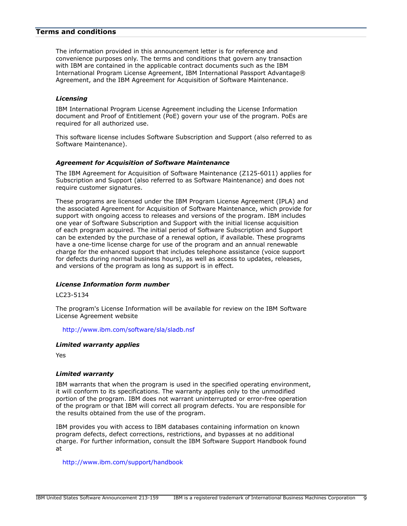# <span id="page-8-0"></span>**Terms and conditions**

The information provided in this announcement letter is for reference and convenience purposes only. The terms and conditions that govern any transaction with IBM are contained in the applicable contract documents such as the IBM International Program License Agreement, IBM International Passport Advantage® Agreement, and the IBM Agreement for Acquisition of Software Maintenance.

## *Licensing*

IBM International Program License Agreement including the License Information document and Proof of Entitlement (PoE) govern your use of the program. PoEs are required for all authorized use.

This software license includes Software Subscription and Support (also referred to as Software Maintenance).

# *Agreement for Acquisition of Software Maintenance*

The IBM Agreement for Acquisition of Software Maintenance (Z125-6011) applies for Subscription and Support (also referred to as Software Maintenance) and does not require customer signatures.

These programs are licensed under the IBM Program License Agreement (IPLA) and the associated Agreement for Acquisition of Software Maintenance, which provide for support with ongoing access to releases and versions of the program. IBM includes one year of Software Subscription and Support with the initial license acquisition of each program acquired. The initial period of Software Subscription and Support can be extended by the purchase of a renewal option, if available. These programs have a one-time license charge for use of the program and an annual renewable charge for the enhanced support that includes telephone assistance (voice support for defects during normal business hours), as well as access to updates, releases, and versions of the program as long as support is in effect.

## *License Information form number*

## LC23-5134

The program's License Information will be available for review on the IBM Software License Agreement website

<http://www.ibm.com/software/sla/sladb.nsf>

## *Limited warranty applies*

Yes

## *Limited warranty*

IBM warrants that when the program is used in the specified operating environment, it will conform to its specifications. The warranty applies only to the unmodified portion of the program. IBM does not warrant uninterrupted or error-free operation of the program or that IBM will correct all program defects. You are responsible for the results obtained from the use of the program.

IBM provides you with access to IBM databases containing information on known program defects, defect corrections, restrictions, and bypasses at no additional charge. For further information, consult the IBM Software Support Handbook found at

<http://www.ibm.com/support/handbook>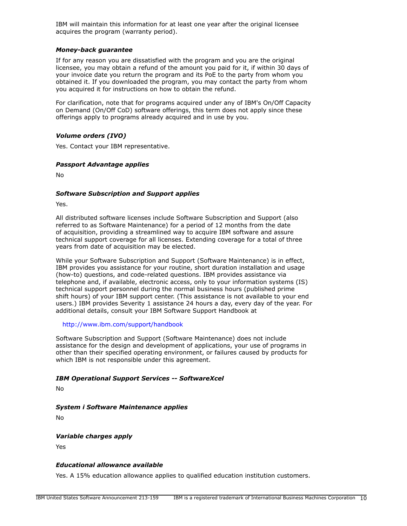IBM will maintain this information for at least one year after the original licensee acquires the program (warranty period).

# *Money-back guarantee*

If for any reason you are dissatisfied with the program and you are the original licensee, you may obtain a refund of the amount you paid for it, if within 30 days of your invoice date you return the program and its PoE to the party from whom you obtained it. If you downloaded the program, you may contact the party from whom you acquired it for instructions on how to obtain the refund.

For clarification, note that for programs acquired under any of IBM's On/Off Capacity on Demand (On/Off CoD) software offerings, this term does not apply since these offerings apply to programs already acquired and in use by you.

# *Volume orders (IVO)*

Yes. Contact your IBM representative.

## *Passport Advantage applies*

No

## *Software Subscription and Support applies*

Yes.

All distributed software licenses include Software Subscription and Support (also referred to as Software Maintenance) for a period of 12 months from the date of acquisition, providing a streamlined way to acquire IBM software and assure technical support coverage for all licenses. Extending coverage for a total of three years from date of acquisition may be elected.

While your Software Subscription and Support (Software Maintenance) is in effect, IBM provides you assistance for your routine, short duration installation and usage (how-to) questions, and code-related questions. IBM provides assistance via telephone and, if available, electronic access, only to your information systems (IS) technical support personnel during the normal business hours (published prime shift hours) of your IBM support center. (This assistance is not available to your end users.) IBM provides Severity 1 assistance 24 hours a day, every day of the year. For additional details, consult your IBM Software Support Handbook at

<http://www.ibm.com/support/handbook>

Software Subscription and Support (Software Maintenance) does not include assistance for the design and development of applications, your use of programs in other than their specified operating environment, or failures caused by products for which IBM is not responsible under this agreement.

## *IBM Operational Support Services -- SoftwareXcel*

No

## *System i Software Maintenance applies*

No

## *Variable charges apply*

Yes

# *Educational allowance available*

Yes. A 15% education allowance applies to qualified education institution customers.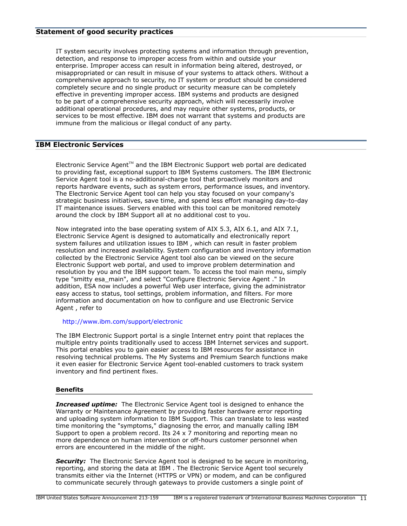IT system security involves protecting systems and information through prevention, detection, and response to improper access from within and outside your enterprise. Improper access can result in information being altered, destroyed, or misappropriated or can result in misuse of your systems to attack others. Without a comprehensive approach to security, no IT system or product should be considered completely secure and no single product or security measure can be completely effective in preventing improper access. IBM systems and products are designed to be part of a comprehensive security approach, which will necessarily involve additional operational procedures, and may require other systems, products, or services to be most effective. IBM does not warrant that systems and products are immune from the malicious or illegal conduct of any party.

# **IBM Electronic Services**

Electronic Service Agent $T^M$  and the IBM Electronic Support web portal are dedicated to providing fast, exceptional support to IBM Systems customers. The IBM Electronic Service Agent tool is a no-additional-charge tool that proactively monitors and reports hardware events, such as system errors, performance issues, and inventory. The Electronic Service Agent tool can help you stay focused on your company's strategic business initiatives, save time, and spend less effort managing day-to-day IT maintenance issues. Servers enabled with this tool can be monitored remotely around the clock by IBM Support all at no additional cost to you.

Now integrated into the base operating system of AIX 5.3, AIX 6.1, and AIX 7.1, Electronic Service Agent is designed to automatically and electronically report system failures and utilization issues to IBM , which can result in faster problem resolution and increased availability. System configuration and inventory information collected by the Electronic Service Agent tool also can be viewed on the secure Electronic Support web portal, and used to improve problem determination and resolution by you and the IBM support team. To access the tool main menu, simply type "smitty esa\_main", and select "Configure Electronic Service Agent ." In addition, ESA now includes a powerful Web user interface, giving the administrator easy access to status, tool settings, problem information, and filters. For more information and documentation on how to configure and use Electronic Service Agent , refer to

# <http://www.ibm.com/support/electronic>

The IBM Electronic Support portal is a single Internet entry point that replaces the multiple entry points traditionally used to access IBM Internet services and support. This portal enables you to gain easier access to IBM resources for assistance in resolving technical problems. The My Systems and Premium Search functions make it even easier for Electronic Service Agent tool-enabled customers to track system inventory and find pertinent fixes.

## **Benefits**

**Increased uptime:** The Electronic Service Agent tool is designed to enhance the Warranty or Maintenance Agreement by providing faster hardware error reporting and uploading system information to IBM Support. This can translate to less wasted time monitoring the "symptoms," diagnosing the error, and manually calling IBM Support to open a problem record. Its 24 x 7 monitoring and reporting mean no more dependence on human intervention or off-hours customer personnel when errors are encountered in the middle of the night.

**Security:** The Electronic Service Agent tool is designed to be secure in monitoring, reporting, and storing the data at IBM . The Electronic Service Agent tool securely transmits either via the Internet (HTTPS or VPN) or modem, and can be configured to communicate securely through gateways to provide customers a single point of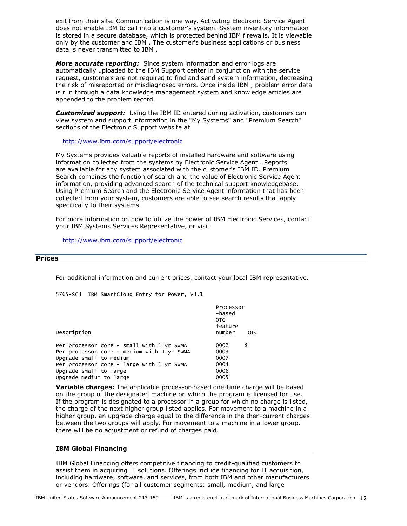exit from their site. Communication is one way. Activating Electronic Service Agent does not enable IBM to call into a customer's system. System inventory information is stored in a secure database, which is protected behind IBM firewalls. It is viewable only by the customer and IBM . The customer's business applications or business data is never transmitted to IBM .

*More accurate reporting:* Since system information and error logs are automatically uploaded to the IBM Support center in conjunction with the service request, customers are not required to find and send system information, decreasing the risk of misreported or misdiagnosed errors. Once inside IBM , problem error data is run through a data knowledge management system and knowledge articles are appended to the problem record.

*Customized support:* Using the IBM ID entered during activation, customers can view system and support information in the "My Systems" and "Premium Search" sections of the Electronic Support website at

<http://www.ibm.com/support/electronic>

My Systems provides valuable reports of installed hardware and software using information collected from the systems by Electronic Service Agent . Reports are available for any system associated with the customer's IBM ID. Premium Search combines the function of search and the value of Electronic Service Agent information, providing advanced search of the technical support knowledgebase. Using Premium Search and the Electronic Service Agent information that has been collected from your system, customers are able to see search results that apply specifically to their systems.

For more information on how to utilize the power of IBM Electronic Services, contact your IBM Systems Services Representative, or visit

<http://www.ibm.com/support/electronic>

# <span id="page-11-0"></span>**Prices**

For additional information and current prices, contact your local IBM representative.

5765-SC3 IBM SmartCloud Entry for Power, V3.1

|                                                                       | Processor<br>-based<br>OTC<br>feature |            |
|-----------------------------------------------------------------------|---------------------------------------|------------|
| Description                                                           | number                                | <b>OTC</b> |
| Per processor core - small with 1 yr SWMA                             | 0002                                  | \$         |
| Per processor core - medium with 1 yr SWMA<br>Upgrade small to medium | 0003<br>0007                          |            |
| Per processor core - large with 1 yr SWMA                             | 0004                                  |            |
| Upgrade small to large                                                | 0006                                  |            |
| Upgrade medium to large                                               | 0005                                  |            |

**Variable charges:** The applicable processor-based one-time charge will be based on the group of the designated machine on which the program is licensed for use. If the program is designated to a processor in a group for which no charge is listed, the charge of the next higher group listed applies. For movement to a machine in a higher group, an upgrade charge equal to the difference in the then-current charges between the two groups will apply. For movement to a machine in a lower group, there will be no adjustment or refund of charges paid.

## **IBM Global Financing**

IBM Global Financing offers competitive financing to credit-qualified customers to assist them in acquiring IT solutions. Offerings include financing for IT acquisition, including hardware, software, and services, from both IBM and other manufacturers or vendors. Offerings (for all customer segments: small, medium, and large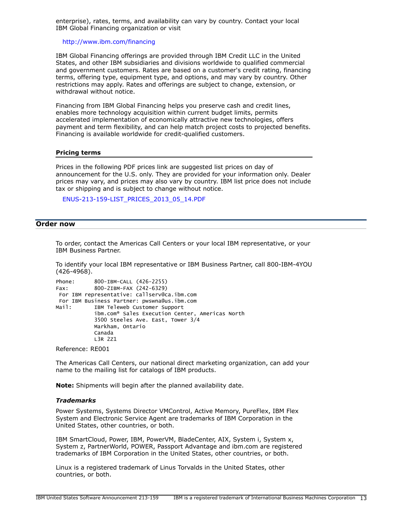enterprise), rates, terms, and availability can vary by country. Contact your local IBM Global Financing organization or visit

#### <http://www.ibm.com/financing>

IBM Global Financing offerings are provided through IBM Credit LLC in the United States, and other IBM subsidiaries and divisions worldwide to qualified commercial and government customers. Rates are based on a customer's credit rating, financing terms, offering type, equipment type, and options, and may vary by country. Other restrictions may apply. Rates and offerings are subject to change, extension, or withdrawal without notice.

Financing from IBM Global Financing helps you preserve cash and credit lines, enables more technology acquisition within current budget limits, permits accelerated implementation of economically attractive new technologies, offers payment and term flexibility, and can help match project costs to projected benefits. Financing is available worldwide for credit-qualified customers.

#### **Pricing terms**

Prices in the following PDF prices link are suggested list prices on day of announcement for the U.S. only. They are provided for your information only. Dealer prices may vary, and prices may also vary by country. IBM list price does not include tax or shipping and is subject to change without notice.

[ENUS-213-159-LIST\\_PRICES\\_2013\\_05\\_14.PDF](http://www.ibm.com/common/ssi/cgi-bin/ssialias?infotype=AN&subtype=CA&appname=gpateam&supplier=897&letternum=ENUS213-159&attachment=ENUS-213-159-LIST_PRICES_2013_05_14.PDF)

# <span id="page-12-0"></span>**Order now**

To order, contact the Americas Call Centers or your local IBM representative, or your IBM Business Partner.

To identify your local IBM representative or IBM Business Partner, call 800-IBM-4YOU (426-4968).

```
Phone: 800-IBM-CALL (426-2255)
Fax: 800-2IBM-FAX (242-6329)
 For IBM representative: callserv@ca.ibm.com 
 For IBM Business Partner: pwswna@us.ibm.com 
Mail: IBM Teleweb Customer Support
            ibm.com® Sales Execution Center, Americas North
            3500 Steeles Ave. East, Tower 3/4
            Markham, Ontario
            Canada
            L3R 2Z1
```
Reference: RE001

The Americas Call Centers, our national direct marketing organization, can add your name to the mailing list for catalogs of IBM products.

**Note:** Shipments will begin after the planned availability date.

#### *Trademarks*

Power Systems, Systems Director VMControl, Active Memory, PureFlex, IBM Flex System and Electronic Service Agent are trademarks of IBM Corporation in the United States, other countries, or both.

IBM SmartCloud, Power, IBM, PowerVM, BladeCenter, AIX, System i, System x, System z, PartnerWorld, POWER, Passport Advantage and ibm.com are registered trademarks of IBM Corporation in the United States, other countries, or both.

Linux is a registered trademark of Linus Torvalds in the United States, other countries, or both.